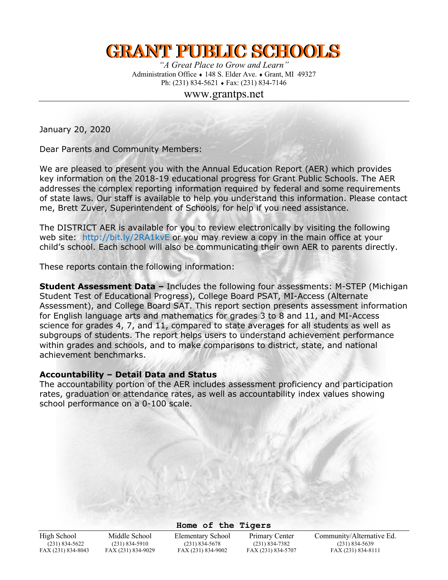# **GRANT PUBLIC SCHOOLS**

*"A Great Place to Grow and Learn"* Administration Office  $\bullet$  148 S. Elder Ave.  $\bullet$  Grant, MI 49327 Ph:  $(231) 834-5621 \rightarrow \text{Fax: } (231) 834-7146$ 

www.grantps.net

January 20, 2020

Dear Parents and Community Members:

We are pleased to present you with the Annual Education Report (AER) which provides key information on the 2018-19 educational progress for Grant Public Schools. The AER addresses the complex reporting information required by federal and some requirements of state laws. Our staff is available to help you understand this information. Please contact me, Brett Zuver, Superintendent of Schools, for help if you need assistance.

The DISTRICT AER is available for you to review electronically by visiting the following web site: http://bit.ly/2RA1kvE or you may review a copy in the main office at your child's school. Each school will also be communicating their own AER to parents directly.

These reports contain the following information:

**Student Assessment Data –** Includes the following four assessments: M-STEP (Michigan Student Test of Educational Progress), College Board PSAT, MI-Access (Alternate Assessment), and College Board SAT. This report section presents assessment information for English language arts and mathematics for grades 3 to 8 and 11, and MI-Access science for grades 4, 7, and 11, compared to state averages for all students as well as subgroups of students. The report helps users to understand achievement performance within grades and schools, and to make comparisons to district, state, and national achievement benchmarks.

#### **Accountability – Detail Data and Status**

The accountability portion of the AER includes assessment proficiency and participation rates, graduation or attendance rates, as well as accountability index values showing school performance on a 0-100 scale.

**Home of the Tigers**

 $(231)$  834-7382

High School Middle School Elementary School Primary Center Community/Alternative Ed.<br>
(231) 834-5910 (231) 834-5678 (231) 834-7382 (231) 834-5639 FAX (231) 834-8043 FAX (231) 834-9029 FAX (231) 834-9002 FAX (231) 834-5707 FAX (231) 834-8111